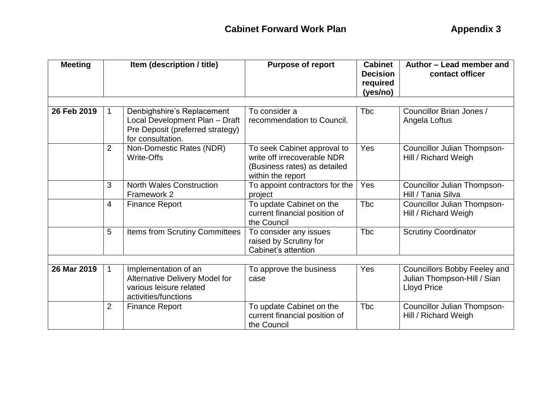| <b>Meeting</b> | Item (description / title) |                                                                                                                       | <b>Purpose of report</b>                                                                                        | <b>Cabinet</b><br><b>Decision</b><br>required<br>(yes/no) | Author - Lead member and<br>contact officer                                              |  |
|----------------|----------------------------|-----------------------------------------------------------------------------------------------------------------------|-----------------------------------------------------------------------------------------------------------------|-----------------------------------------------------------|------------------------------------------------------------------------------------------|--|
| 26 Feb 2019    | $\mathbf{1}$               | Denbighshire's Replacement<br>Local Development Plan - Draft<br>Pre Deposit (preferred strategy)<br>for consultation. | To consider a<br>recommendation to Council.                                                                     | <b>T</b> bc                                               | Councillor Brian Jones /<br>Angela Loftus                                                |  |
|                | $\overline{2}$             | Non-Domestic Rates (NDR)<br><b>Write-Offs</b>                                                                         | To seek Cabinet approval to<br>write off irrecoverable NDR<br>(Business rates) as detailed<br>within the report | Yes                                                       | Councillor Julian Thompson-<br>Hill / Richard Weigh                                      |  |
|                | 3                          | <b>North Wales Construction</b><br>Framework 2                                                                        | To appoint contractors for the<br>project                                                                       | Yes                                                       | Councillor Julian Thompson-<br>Hill / Tania Silva                                        |  |
|                | 4                          | <b>Finance Report</b>                                                                                                 | To update Cabinet on the<br>current financial position of<br>the Council                                        | <b>Tbc</b>                                                | Councillor Julian Thompson-<br>Hill / Richard Weigh                                      |  |
|                | 5                          | Items from Scrutiny Committees                                                                                        | To consider any issues<br>raised by Scrutiny for<br>Cabinet's attention                                         | <b>Tbc</b>                                                | <b>Scrutiny Coordinator</b>                                                              |  |
|                |                            |                                                                                                                       |                                                                                                                 |                                                           |                                                                                          |  |
| 26 Mar 2019    | $\mathbf{1}$               | Implementation of an<br>Alternative Delivery Model for<br>various leisure related<br>activities/functions             | To approve the business<br>case                                                                                 | <b>Yes</b>                                                | <b>Councillors Bobby Feeley and</b><br>Julian Thompson-Hill / Sian<br><b>Lloyd Price</b> |  |
|                | $\overline{2}$             | <b>Finance Report</b>                                                                                                 | To update Cabinet on the<br>current financial position of<br>the Council                                        | <b>T</b> bc                                               | Councillor Julian Thompson-<br>Hill / Richard Weigh                                      |  |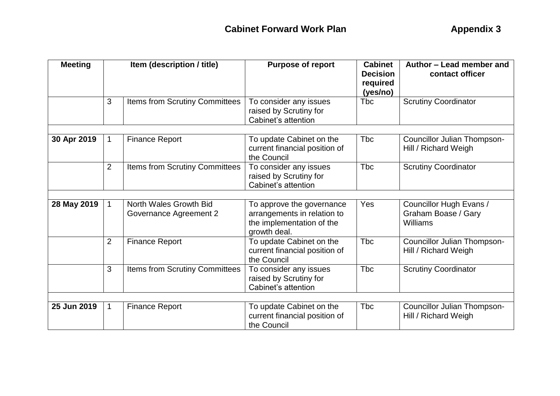| <b>Meeting</b> | Item (description / title) |                                                  | <b>Cabinet</b><br><b>Purpose of report</b><br><b>Decision</b><br>required<br>(yes/no)                 |             | Author - Lead member and<br>contact officer                |  |
|----------------|----------------------------|--------------------------------------------------|-------------------------------------------------------------------------------------------------------|-------------|------------------------------------------------------------|--|
|                | 3                          | <b>Items from Scrutiny Committees</b>            | To consider any issues<br>raised by Scrutiny for<br>Cabinet's attention                               | <b>T</b> bc | <b>Scrutiny Coordinator</b>                                |  |
|                |                            |                                                  |                                                                                                       |             |                                                            |  |
| 30 Apr 2019    | 1                          | <b>Finance Report</b>                            | To update Cabinet on the<br>current financial position of<br>the Council                              | <b>Tbc</b>  | <b>Councillor Julian Thompson-</b><br>Hill / Richard Weigh |  |
|                | 2                          | <b>Items from Scrutiny Committees</b>            | To consider any issues<br>raised by Scrutiny for<br>Cabinet's attention                               | <b>Tbc</b>  | <b>Scrutiny Coordinator</b>                                |  |
|                |                            |                                                  |                                                                                                       |             |                                                            |  |
| 28 May 2019    | $\mathbf 1$                | North Wales Growth Bid<br>Governance Agreement 2 | To approve the governance<br>arrangements in relation to<br>the implementation of the<br>growth deal. | Yes         | Councillor Hugh Evans /<br>Graham Boase / Gary<br>Williams |  |
|                | $\overline{2}$             | <b>Finance Report</b>                            | To update Cabinet on the<br>current financial position of<br>the Council                              | <b>Tbc</b>  | Councillor Julian Thompson-<br>Hill / Richard Weigh        |  |
|                | 3                          | Items from Scrutiny Committees                   | To consider any issues<br>raised by Scrutiny for<br>Cabinet's attention                               | <b>Tbc</b>  | <b>Scrutiny Coordinator</b>                                |  |
|                |                            |                                                  |                                                                                                       |             |                                                            |  |
| 25 Jun 2019    | $\mathbf{1}$               | <b>Finance Report</b>                            | To update Cabinet on the<br>current financial position of<br>the Council                              | <b>T</b> bc | <b>Councillor Julian Thompson-</b><br>Hill / Richard Weigh |  |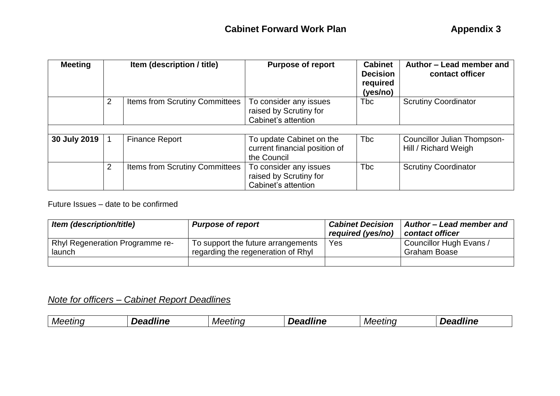| <b>Meeting</b> |                | Item (description / title)     | <b>Purpose of report</b>                                                 | <b>Cabinet</b><br><b>Decision</b><br>required<br>(yes/no) | Author - Lead member and<br>contact officer                |
|----------------|----------------|--------------------------------|--------------------------------------------------------------------------|-----------------------------------------------------------|------------------------------------------------------------|
|                | 2              | Items from Scrutiny Committees | To consider any issues<br>raised by Scrutiny for<br>Cabinet's attention  | <b>Tbc</b>                                                | <b>Scrutiny Coordinator</b>                                |
|                |                |                                |                                                                          |                                                           |                                                            |
| 30 July 2019   |                | <b>Finance Report</b>          | To update Cabinet on the<br>current financial position of<br>the Council | <b>T</b> bc                                               | <b>Councillor Julian Thompson-</b><br>Hill / Richard Weigh |
|                | $\overline{2}$ | Items from Scrutiny Committees | To consider any issues<br>raised by Scrutiny for<br>Cabinet's attention  | <b>Tbc</b>                                                | <b>Scrutiny Coordinator</b>                                |

Future Issues – date to be confirmed

| Item (description/title)               | <b>Purpose of report</b>           | <b>Cabinet Decision</b><br>required (yes/no) | Author - Lead member and<br>contact officer |
|----------------------------------------|------------------------------------|----------------------------------------------|---------------------------------------------|
| <b>Rhyl Regeneration Programme re-</b> | To support the future arrangements | Yes                                          | Councillor Hugh Evans /                     |
| launch                                 | regarding the regeneration of Rhyl |                                              | <b>Graham Boase</b>                         |
|                                        |                                    |                                              |                                             |

## *Note for officers – Cabinet Report Deadlines*

|  | etıno<br>Mee' | <br>,,, | Mє<br>шк | ---<br>76<br> | ----<br>n <i>Mer</i><br>etinc |  |
|--|---------------|---------|----------|---------------|-------------------------------|--|
|--|---------------|---------|----------|---------------|-------------------------------|--|